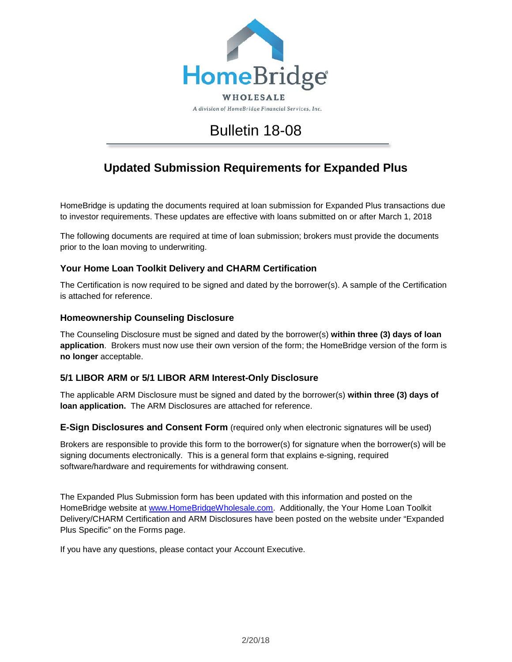

# Bulletin 18-08

## **Updated Submission Requirements for Expanded Plus**

HomeBridge is updating the documents required at loan submission for Expanded Plus transactions due to investor requirements. These updates are effective with loans submitted on or after March 1, 2018

The following documents are required at time of loan submission; brokers must provide the documents prior to the loan moving to underwriting.

## **Your Home Loan Toolkit Delivery and CHARM Certification**

The Certification is now required to be signed and dated by the borrower(s). A sample of the Certification is attached for reference.

### **Homeownership Counseling Disclosure**

The Counseling Disclosure must be signed and dated by the borrower(s) **within three (3) days of loan application**. Brokers must now use their own version of the form; the HomeBridge version of the form is **no longer** acceptable.

## **5/1 LIBOR ARM or 5/1 LIBOR ARM Interest-Only Disclosure**

The applicable ARM Disclosure must be signed and dated by the borrower(s) **within three (3) days of loan application.** The ARM Disclosures are attached for reference.

**E-Sign Disclosures and Consent Form** (required only when electronic signatures will be used)

Brokers are responsible to provide this form to the borrower(s) for signature when the borrower(s) will be signing documents electronically. This is a general form that explains e-signing, required software/hardware and requirements for withdrawing consent.

The Expanded Plus Submission form has been updated with this information and posted on the HomeBridge website at [www.HomeBridgeWholesale.com.](http://www.homebridgewholesale.com/) Additionally, the Your Home Loan Toolkit Delivery/CHARM Certification and ARM Disclosures have been posted on the website under "Expanded Plus Specific" on the Forms page.

If you have any questions, please contact your Account Executive.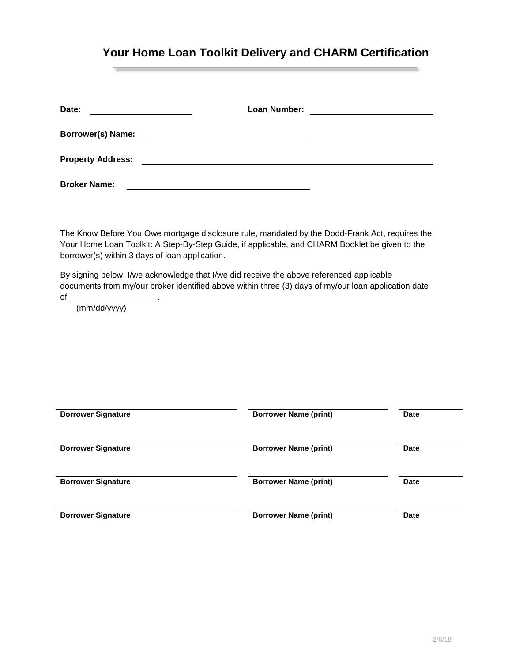## **Your Home Loan Toolkit Delivery and CHARM Certification**

| Date:                    | Loan Number: |  |
|--------------------------|--------------|--|
| <b>Borrower(s) Name:</b> |              |  |
| <b>Property Address:</b> |              |  |
| <b>Broker Name:</b>      |              |  |

The Know Before You Owe mortgage disclosure rule, mandated by the Dodd-Frank Act, requires the Your Home Loan Toolkit: A Step-By-Step Guide, if applicable, and CHARM Booklet be given to the borrower(s) within 3 days of loan application.

By signing below, I/we acknowledge that I/we did receive the above referenced applicable documents from my/our broker identified above within three (3) days of my/our loan application date  $of \_$ 

(mm/dd/yyyy)

| <b>Borrower Signature</b> | <b>Borrower Name (print)</b> | <b>Date</b> |
|---------------------------|------------------------------|-------------|
| <b>Borrower Signature</b> | <b>Borrower Name (print)</b> | <b>Date</b> |
| <b>Borrower Signature</b> | <b>Borrower Name (print)</b> | <b>Date</b> |
| <b>Borrower Signature</b> | <b>Borrower Name (print)</b> | <b>Date</b> |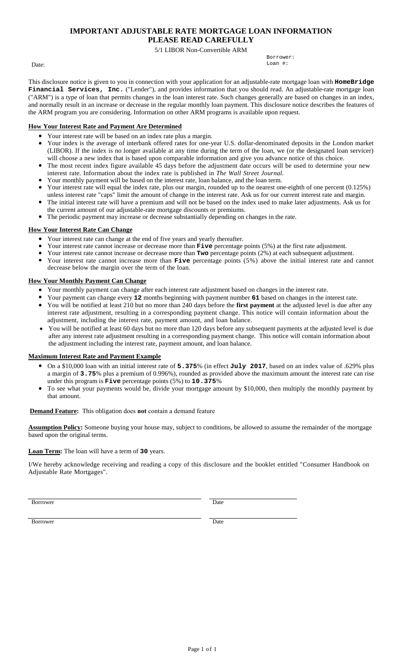## **IMPORTANT ADJUSTABLE RATE MORTGAGE LOAN INFORMATION**

**PLEASE READ CAREFULLY** 5/1 LIBOR Non-Convertible ARM

Date:

Borrower: Loan #:

This disclosure notice is given to you in connection with your application for an adjustable-rate mortgage loan with **HomeBridge Financial Services, Inc.** ("Lender"), and provides information that you should read. An adjustable-rate mortgage loan ("ARM") is a type of loan that permits changes in the loan interest rate. Such changes generally are based on changes in an index, and normally result in an increase or decrease in the regular monthly loan payment. This disclosure notice describes the features of the ARM program you are considering. Information on other ARM programs is available upon request.

## **How Your Interest Rate and Payment Are Determined**

- Your interest rate will be based on an index rate plus a margin.
- Your index is the average of interbank offered rates for one-year U.S. dollar-denominated deposits in the London market (LIBOR). If the index is no longer available at any time during the term of the loan, we (or the designated loan servicer) will choose a new index that is based upon comparable information and give you advance notice of this choice.
- The most recent index figure available 45 days before the adjustment date occurs will be used to determine your new interest rate. Information about the index rate is published in *The Wall Street Journal.*
- Your monthly payment will be based on the interest rate, loan balance, and the loan term.
- Your interest rate will equal the index rate, plus our margin, rounded up to the nearest one-eighth of one percent (0.125%)
- unless interest rate "caps" limit the amount of change in the interest rate. Ask us for our current interest rate and margin. The initial interest rate will have a premium and will not be based on the index used to make later adjustments. Ask us for
- the current amount of our adjustable-rate mortgage discounts or premiums.
- The periodic payment may increase or decrease substantially depending on changes in the rate.

### **How Your Interest Rate Can Change**

- Your interest rate can change at the end of five years and yearly thereafter.
- Your interest rate cannot increase or decrease more than **Five** percentage points (5%) at the first rate adjustment.
- Your interest rate cannot increase or decrease more than **Two** percentage points (2%) at each subsequent adjustment.
- Your interest rate cannot increase more than **Five** percentage points (5%) above the initial interest rate and cannot decrease below the margin over the term of the loan.

### **How Your Monthly Payment Can Change**

- Your monthly payment can change after each interest rate adjustment based on changes in the interest rate.
- Your payment can change every **12** months beginning with payment number **61** based on changes in the interest rate.
- You will be notified at least 210 but no more than 240 days before the **first payment** at the adjusted level is due after any interest rate adjustment, resulting in a corresponding payment change. This notice will contain information about the adjustment, including the interest rate, payment amount, and loan balance.
- You will be notified at least 60 days but no more than 120 days before any subsequent payments at the adjusted level is due after any interest rate adjustment resulting in a corresponding payment change. This notice will contain information about the adjustment including the interest rate, payment amount, and loan balance.

#### **Maximum Interest Rate and Payment Example**

- On a \$10,000 loan with an initial interest rate of **5.375**% (in effect **July 2017**, based on an index value of .629% plus a margin of **3.75**% plus a premium of 0.996%), rounded as provided above the maximum amount the interest rate can rise under this program is **Five** percentage points (5%) to **10.375**%
- To see what your payments would be, divide your mortgage amount by \$10,000, then multiply the monthly payment by that amount.

#### **Demand Feature:** This obligation does **not** contain a demand feature

**Assumption Policy:** Someone buying your house may, subject to conditions, be allowed to assume the remainder of the mortgage based upon the original terms.

#### **Loan Term:** The loan will have a term of **30** years.

I/We hereby acknowledge receiving and reading a copy of this disclosure and the booklet entitled "Consumer Handbook on Adjustable Rate Mortgages".

Borrower Date

Borrower Date